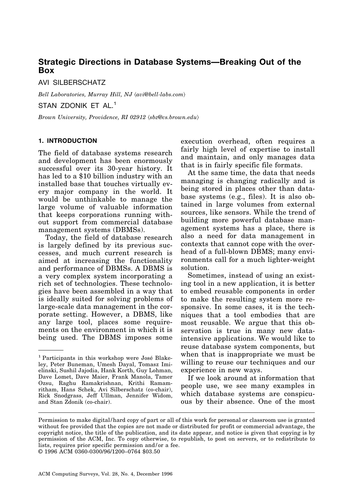# **Strategic Directions in Database Systems—Breaking Out of the Box**

AVI SILBERSCHATZ

*Bell Laboratories, Murray Hill, NJ* ^*avi@bell-labs.com*&

STAN ZDONIK ET AL.<sup>1</sup>

*Brown University, Providence, RI 02912* ^*sbz@cs.brown.edu*&

#### **1. INTRODUCTION**

The field of database systems research and development has been enormously successful over its 30-year history. It has led to a \$10 billion industry with an installed base that touches virtually every major company in the world. It would be unthinkable to manage the large volume of valuable information that keeps corporations running without support from commercial database management systems (DBMSs).

Today, the field of database research is largely defined by its previous successes, and much current research is aimed at increasing the functionality and performance of DBMSs. A DBMS is a very complex system incorporating a rich set of technologies. These technologies have been assembled in a way that is ideally suited for solving problems of large-scale data management in the corporate setting. However, a DBMS, like any large tool, places some requirements on the environment in which it is being used. The DBMS imposes some

execution overhead, often requires a fairly high level of expertise to install and maintain, and only manages data that is in fairly specific file formats.

At the same time, the data that needs managing is changing radically and is being stored in places other than database systems (e.g., files). It is also obtained in large volumes from external sources, like sensors. While the trend of building more powerful database management systems has a place, there is also a need for data management in contexts that cannot cope with the overhead of a full-blown DBMS; many environments call for a much lighter-weight solution.

Sometimes, instead of using an existing tool in a new application, it is better to embed reusable components in order to make the resulting system more responsive. In some cases, it is the techniques that a tool embodies that are most reusable. We argue that this observation is true in many new dataintensive applications. We would like to reuse database system components, but when that is inappropriate we must be willing to reuse our techniques and our experience in new ways.

If we look around at information that people use, we see many examples in which database systems are conspicuous by their absence. One of the most

<sup>&</sup>lt;sup>1</sup> Participants in this workshop were José Blakeley, Peter Buneman, Umesh Dayal, Tomasz Imielinski, Sushil Jajodia, Hank Korth, Guy Lohman, Dave Lomet, Dave Maier, Frank Manola, Tamer Ozsu, Raghu Ramakrishnan, Krithi Ramamritham, Hans Schek, Avi Silberschatz (co-chair), Rick Snodgrass, Jeff Ullman, Jennifer Widom, and Stan Zdonik (co-chair).

Permission to make digital/hard copy of part or all of this work for personal or classroom use is granted without fee provided that the copies are not made or distributed for profit or commercial advantage, the copyright notice, the title of the publication, and its date appear, and notice is given that copying is by permission of the ACM, Inc. To copy otherwise, to republish, to post on servers, or to redistribute to lists, requires prior specific permission and/or a fee. © 1996 ACM 0360-0300/96/1200–0764 \$03.50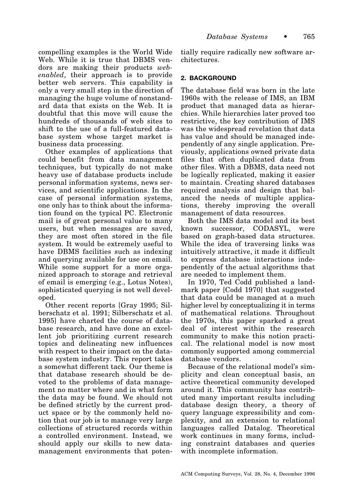compelling examples is the World Wide Web. While it is true that DBMS vendors are making their products *webenabled*, their approach is to provide better web servers. This capability is only a very small step in the direction of managing the huge volume of nonstandard data that exists on the Web. It is doubtful that this move will cause the hundreds of thousands of web sites to shift to the use of a full-featured database system whose target market is business data processing.

Other examples of applications that could benefit from data management techniques, but typically do not make heavy use of database products include personal information systems, news services, and scientific applications. In the case of personal information systems, one only has to think about the information found on the typical PC. Electronic mail is of great personal value to many users, but when messages are saved, they are most often stored in the file system. It would be extremely useful to have DBMS facilities such as indexing and querying available for use on email. While some support for a more organized approach to storage and retrieval of email is emerging (e.g., Lotus Notes), sophisticated querying is not well developed.

Other recent reports [Gray 1995; Silberschatz et al. 1991; Silberschatz et al. 1995] have charted the course of database research, and have done an excellent job prioritizing current research topics and delineating new influences with respect to their impact on the database system industry. This report takes a somewhat different tack. Our theme is that database research should be devoted to the problems of data management no matter where and in what form the data may be found. We should not be defined strictly by the current product space or by the commonly held notion that our job is to manage very large collections of structured records within a controlled environment. Instead, we should apply our skills to new datamanagement environments that potentially require radically new software architectures.

### **2. BACKGROUND**

The database field was born in the late 1960s with the release of IMS, an IBM product that managed data as hierarchies. While hierarchies later proved too restrictive, the key contribution of IMS was the widespread revelation that data has value and should be managed independently of any single application. Previously, applications owned private data files that often duplicated data from other files. With a DBMS, data need not be logically replicated, making it easier to maintain. Creating shared databases required analysis and design that balanced the needs of multiple applications, thereby improving the overall management of data resources.

Both the IMS data model and its best known successor, CODASYL, were based on graph-based data structures. While the idea of traversing links was intuitively attractive, it made it difficult to express database interactions independently of the actual algorithms that are needed to implement them.

In 1970, Ted Codd published a landmark paper [Codd 1970] that suggested that data could be managed at a much higher level by conceptualizing it in terms of mathematical relations. Throughout the 1970s, this paper sparked a great deal of interest within the research community to make this notion practical. The relational model is now most commonly supported among commercial database vendors.

Because of the relational model's simplicity and clean conceptual basis, an active theoretical community developed around it. This community has contributed many important results including database design theory, a theory of query language expressibility and complexity, and an extension to relational languages called Datalog. Theoretical work continues in many forms, including constraint databases and queries with incomplete information.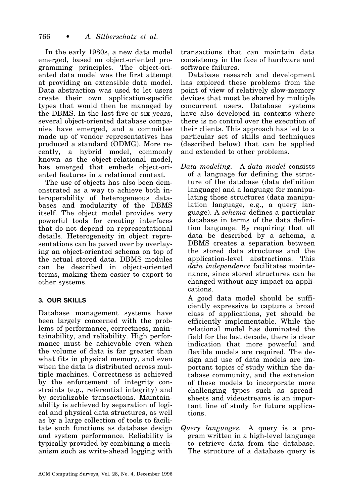In the early 1980s, a new data model emerged, based on object-oriented programming principles. The object-oriented data model was the first attempt at providing an extensible data model. Data abstraction was used to let users create their own application-specific types that would then be managed by the DBMS. In the last five or six years, several object-oriented database companies have emerged, and a committee made up of vendor representatives has produced a standard (ODMG). More recently, a hybrid model, commonly known as the object-relational model, has emerged that embeds object-oriented features in a relational context.

The use of objects has also been demonstrated as a way to achieve both interoperability of heterogeneous databases and modularity of the DBMS itself. The object model provides very powerful tools for creating interfaces that do not depend on representational details. Heterogeneity in object representations can be paved over by overlaying an object-oriented schema on top of the actual stored data. DBMS modules can be described in object-oriented terms, making them easier to export to other systems.

## **3. OUR SKILLS**

Database management systems have been largely concerned with the problems of performance, correctness, maintainability, and reliability. High performance must be achievable even when the volume of data is far greater than what fits in physical memory, and even when the data is distributed across multiple machines. Correctness is achieved by the enforcement of integrity constraints (e.g., referential integrity) and by serializable transactions. Maintainability is achieved by separation of logical and physical data structures, as well as by a large collection of tools to facilitate such functions as database design and system performance. Reliability is typically provided by combining a mechanism such as write-ahead logging with transactions that can maintain data consistency in the face of hardware and software failures.

Database research and development has explored these problems from the point of view of relatively slow-memory devices that must be shared by multiple concurrent users. Database systems have also developed in contexts where there is no control over the execution of their clients. This approach has led to a particular set of skills and techniques (described below) that can be applied and extended to other problems.

*Data modeling.* A *data model* consists of a language for defining the structure of the database (data definition language) and a language for manipulating those structures (data manipulation language, e.g., a query language). A *schema* defines a particular database in terms of the data definition language. By requiring that all data be described by a schema, a DBMS creates a separation between the stored data structures and the application-level abstractions. This *data independence* facilitates maintenance, since stored structures can be changed without any impact on applications.

A good data model should be sufficiently expressive to capture a broad class of applications, yet should be efficiently implementable. While the relational model has dominated the field for the last decade, there is clear indication that more powerful and flexible models are required. The design and use of data models are important topics of study within the database community, and the extension of these models to incorporate more challenging types such as spreadsheets and videostreams is an important line of study for future applications.

*Query languages.* A query is a program written in a high-level language to retrieve data from the database. The structure of a database query is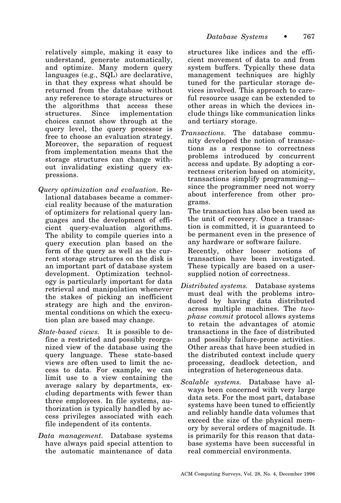relatively simple, making it easy to understand, generate automatically, and optimize. Many modern query languages (e.g., SQL) are declarative, in that they express what should be returned from the database without any reference to storage structures or the algorithms that access these structures. Since implementation choices cannot show through at the query level, the query processor is free to choose an evaluation strategy. Moreover, the separation of request from implementation means that the storage structures can change without invalidating existing query expressions.

- *Query optimization and evaluation.* Relational databases became a commercial reality because of the maturation of optimizers for relational query languages and the development of efficient query-evaluation algorithms. The ability to compile queries into a query execution plan based on the form of the query as well as the current storage structures on the disk is an important part of database system development. Optimization technology is particularly important for data retrieval and manipulation whenever the stakes of picking an inefficient strategy are high and the environmental conditions on which the execution plan are based may change.
- *State-based views.* It is possible to define a restricted and possibly reorganized view of the database using the query language. These state-based views are often used to limit the access to data. For example, we can limit use to a view containing the average salary by departments, excluding departments with fewer than three employees. In file systems, authorization is typically handled by access privileges associated with each file independent of its contents.
- *Data management.* Database systems have always paid special attention to the automatic maintenance of data

structures like indices and the efficient movement of data to and from system buffers. Typically these data management techniques are highly tuned for the particular storage devices involved. This approach to careful resource usage can be extended to other areas in which the devices include things like communication links and tertiary storage.

*Transactions.* The database community developed the notion of transactions as a response to correctness problems introduced by concurrent access and update. By adopting a correctness criterion based on atomicity, transactions simplify programming since the programmer need not worry about interference from other programs.

The transaction has also been used as the unit of recovery. Once a transaction is committed, it is guaranteed to be permanent even in the presence of any hardware or software failure.

Recently, other looser notions of transaction have been investigated. These typically are based on a usersupplied notion of correctness.

- *Distributed systems.* Database systems must deal with the problems introduced by having data distributed across multiple machines. The *twophase commit* protocol allows systems to retain the advantages of atomic transactions in the face of distributed and possibly failure-prone activities. Other areas that have been studied in the distributed context include query processing, deadlock detection, and integration of heterogeneous data.
- *Scalable systems.* Database have always been concerned with very large data sets. For the most part, database systems have been tuned to efficiently and reliably handle data volumes that exceed the size of the physical memory by several orders of magnitude. It is primarily for this reason that database systems have been successful in real commercial environments.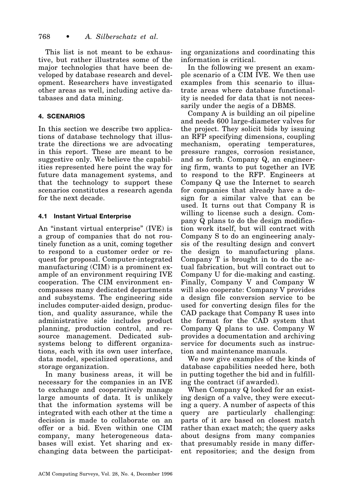This list is not meant to be exhaustive, but rather illustrates some of the major technologies that have been developed by database research and development. Researchers have investigated other areas as well, including active databases and data mining.

# **4. SCENARIOS**

In this section we describe two applications of database technology that illustrate the directions we are advocating in this report. These are meant to be suggestive only. We believe the capabilities represented here point the way for future data management systems, and that the technology to support these scenarios constitutes a research agenda for the next decade.

# **4.1 Instant Virtual Enterprise**

An "instant virtual enterprise" (IVE) is a group of companies that do not routinely function as a unit, coming together to respond to a customer order or request for proposal. Computer-integrated manufacturing (CIM) is a prominent example of an environment requiring IVE cooperation. The CIM environment encompasses many dedicated departments and subsystems. The engineering side includes computer-aided design, production, and quality assurance, while the administrative side includes product planning, production control, and resource management. Dedicated subsystems belong to different organizations, each with its own user interface, data model, specialized operations, and storage organization.

In many business areas, it will be necessary for the companies in an IVE to exchange and cooperatively manage large amounts of data. It is unlikely that the information systems will be integrated with each other at the time a decision is made to collaborate on an offer or a bid. Even within one CIM company, many heterogeneous databases will exist. Yet sharing and exchanging data between the participating organizations and coordinating this information is critical.

In the following we present an example scenario of a CIM IVE. We then use examples from this scenario to illustrate areas where database functionality is needed for data that is not necessarily under the aegis of a DBMS.

Company A is building an oil pipeline and needs 600 large-diameter valves for the project. They solicit bids by issuing an RFP specifying dimensions, coupling mechanism, operating temperatures, pressure ranges, corrosion resistance, and so forth. Company Q, an engineering firm, wants to put together an IVE to respond to the RFP. Engineers at Company Q use the Internet to search for companies that already have a design for a similar valve that can be used. It turns out that Company R is willing to license such a design. Company Q plans to do the design modification work itself, but will contract with Company S to do an engineering analysis of the resulting design and convert the design to manufacturing plans. Company T is brought in to do the actual fabrication, but will contract out to Company U for die-making and casting. Finally, Company V and Company W will also cooperate: Company V provides a design file conversion service to be used for converting design files for the CAD package that Company R uses into the format for the CAD system that Company Q plans to use. Company W provides a documentation and archiving service for documents such as instruction and maintenance manuals.

We now give examples of the kinds of database capabilities needed here, both in putting together the bid and in fulfilling the contract (if awarded).

When Company Q looked for an existing design of a valve, they were executing a query. A number of aspects of this query are particularly challenging: parts of it are based on closest match rather than exact match; the query asks about designs from many companies that presumably reside in many different repositories; and the design from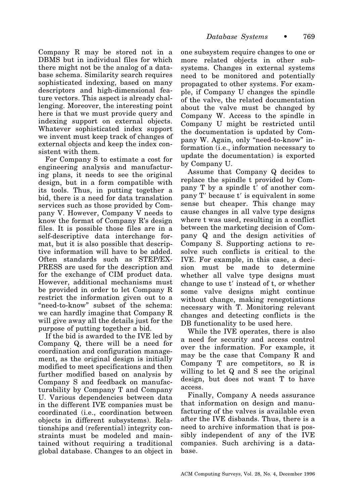Company R may be stored not in a DBMS but in individual files for which there might not be the analog of a database schema. Similarity search requires sophisticated indexing, based on many descriptors and high-dimensional feature vectors. This aspect is already challenging. Moreover, the interesting point here is that we must provide query and indexing support on external objects. Whatever sophisticated index support we invent must keep track of changes of external objects and keep the index consistent with them.

For Company S to estimate a cost for engineering analysis and manufacturing plans, it needs to see the original design, but in a form compatible with its tools. Thus, in putting together a bid, there is a need for data translation services such as those provided by Company V. However, Company V needs to know the format of Company R's design files. It is possible those files are in a self-descriptive data interchange format, but it is also possible that descriptive information will have to be added. Often standards such as STEP/EX-PRESS are used for the description and for the exchange of CIM product data. However, additional mechanisms must be provided in order to let Company R restrict the information given out to a "need-to-know" subset of the schema: we can hardly imagine that Company R will give away all the details just for the purpose of putting together a bid.

If the bid is awarded to the IVE led by Company Q, there will be a need for coordination and configuration management, as the original design is initially modified to meet specifications and then further modified based on analysis by Company S and feedback on manufacturability by Company T and Company U. Various dependencies between data in the different IVE companies must be coordinated (i.e., coordination between objects in different subsystems). Relationships and (referential) integrity constraints must be modeled and maintained without requiring a traditional global database. Changes to an object in

one subsystem require changes to one or more related objects in other subsystems. Changes in external systems need to be monitored and potentially propagated to other systems. For example, if Company U changes the spindle of the valve, the related documentation about the valve must be changed by Company W. Access to the spindle in Company U might be restricted until the documentation is updated by Company W. Again, only "need-to-know" information (i.e., information necessary to update the documentation) is exported by Company U.

Assume that Company Q decides to replace the spindle t provided by Company  $T$  by a spindle  $t'$  of another company T' because t' is equivalent in some sense but cheaper. This change may cause changes in all valve type designs where t was used, resulting in a conflict between the marketing decision of Company Q and the design activities of Company S. Supporting actions to resolve such conflicts is critical to the IVE. For example, in this case, a decision must be made to determine whether all valve type designs must change to use t' instead of t, or whether some valve designs might continue without change, making renegotiations necessary with T. Monitoring relevant changes and detecting conflicts is the DB functionality to be used here.

While the IVE operates, there is also a need for security and access control over the information. For example, it may be the case that Company R and Company T are competitors, so R is willing to let Q and S see the original design, but does not want T to have access.

Finally, Company A needs assurance that information on design and manufacturing of the valves is available even after the IVE disbands. Thus, there is a need to archive information that is possibly independent of any of the IVE companies. Such archiving is a database.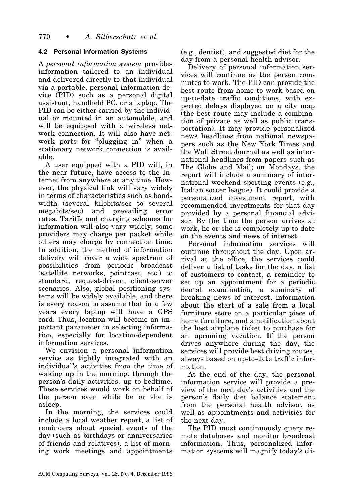#### **4.2 Personal Information Systems**

A *personal information system* provides information tailored to an individual and delivered directly to that individual via a portable, personal information device (PID) such as a personal digital assistant, handheld PC, or a laptop. The PID can be either carried by the individual or mounted in an automobile, and will be equipped with a wireless network connection. It will also have network ports for "plugging in" when a stationary network connection is available.

A user equipped with a PID will, in the near future, have access to the Internet from anywhere at any time. However, the physical link will vary widely in terms of characteristics such as bandwidth (several kilobits/sec to several megabits/sec) and prevailing error rates. Tariffs and charging schemes for information will also vary widely; some providers may charge per packet while others may charge by connection time. In addition, the method of information delivery will cover a wide spectrum of possibilities from periodic broadcast (satellite networks, pointcast, etc.) to standard, request-driven, client-server scenarios. Also, global positioning systems will be widely available, and there is every reason to assume that in a few years every laptop will have a GPS card. Thus, location will become an important parameter in selecting information, especially for location-dependent information services.

We envision a personal information service as tightly integrated with an individual's activities from the time of waking up in the morning, through the person's daily activities, up to bedtime. These services would work on behalf of the person even while he or she is asleep.

In the morning, the services could include a local weather report, a list of reminders about special events of the day (such as birthdays or anniversaries of friends and relatives), a list of morning work meetings and appointments

(e.g., dentist), and suggested diet for the day from a personal health advisor.

Delivery of personal information services will continue as the person commutes to work. The PID can provide the best route from home to work based on up-to-date traffic conditions, with expected delays displayed on a city map (the best route may include a combination of private as well as public transportation). It may provide personalized news headlines from national newspapers such as the New York Times and the Wall Street Journal as well as international headlines from papers such as The Globe and Mail; on Mondays, the report will include a summary of international weekend sporting events (e.g., Italian soccer league). It could provide a personalized investment report, with recommended investments for that day provided by a personal financial advisor. By the time the person arrives at work, he or she is completely up to date on the events and news of interest.

Personal information services will continue throughout the day. Upon arrival at the office, the services could deliver a list of tasks for the day, a list of customers to contact, a reminder to set up an appointment for a periodic dental examination, a summary of breaking news of interest, information about the start of a sale from a local furniture store on a particular piece of home furniture, and a notification about the best airplane ticket to purchase for an upcoming vacation. If the person drives anywhere during the day, the services will provide best driving routes, always based on up-to-date traffic information.

At the end of the day, the personal information service will provide a preview of the next day's activities and the person's daily diet balance statement from the personal health advisor, as well as appointments and activities for the next day.

The PID must continuously query remote databases and monitor broadcast information. Thus, personalized information systems will magnify today's cli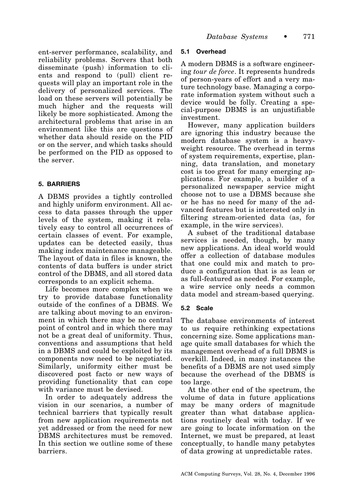ent-server performance, scalability, and reliability problems. Servers that both disseminate (push) information to clients and respond to (pull) client requests will play an important role in the delivery of personalized services. The load on these servers will potentially be much higher and the requests will likely be more sophisticated. Among the architectural problems that arise in an environment like this are questions of whether data should reside on the PID or on the server, and which tasks should be performed on the PID as opposed to the server.

## **5. BARRIERS**

A DBMS provides a tightly controlled and highly uniform environment. All access to data passes through the upper levels of the system, making it relatively easy to control all occurrences of certain classes of event. For example, updates can be detected easily, thus making index maintenance manageable. The layout of data in files is known, the contents of data buffers is under strict control of the DBMS, and all stored data corresponds to an explicit schema.

Life becomes more complex when we try to provide database functionality outside of the confines of a DBMS. We are talking about moving to an environment in which there may be no central point of control and in which there may not be a great deal of uniformity. Thus, conventions and assumptions that held in a DBMS and could be exploited by its components now need to be negotiated. Similarly, uniformity either must be discovered post facto or new ways of providing functionality that can cope with variance must be devised.

In order to adequately address the vision in our scenarios, a number of technical barriers that typically result from new application requirements not yet addressed or from the need for new DBMS architectures must be removed. In this section we outline some of these barriers.

#### **5.1 Overhead**

A modern DBMS is a software engineering *tour de force*. It represents hundreds of person-years of effort and a very mature technology base. Managing a corporate information system without such a device would be folly. Creating a special-purpose DBMS is an unjustifiable investment.

However, many application builders are ignoring this industry because the modern database system is a heavyweight resource. The overhead in terms of system requirements, expertise, planning, data translation, and monetary cost is too great for many emerging applications. For example, a builder of a personalized newspaper service might choose not to use a DBMS because she or he has no need for many of the advanced features but is interested only in filtering stream-oriented data (as, for example, in the wire services).

A subset of the traditional database services is needed, though, by many new applications. An ideal world would offer a collection of database modules that one could mix and match to produce a configuration that is as lean or as full-featured as needed. For example, a wire service only needs a common data model and stream-based querying.

#### **5.2 Scale**

The database environments of interest to us require rethinking expectations concerning size. Some applications manage quite small databases for which the management overhead of a full DBMS is overkill. Indeed, in many instances the benefits of a DBMS are not used simply because the overhead of the DBMS is too large.

At the other end of the spectrum, the volume of data in future applications may be many orders of magnitude greater than what database applications routinely deal with today. If we are going to locate information on the Internet, we must be prepared, at least conceptually, to handle many petabytes of data growing at unpredictable rates.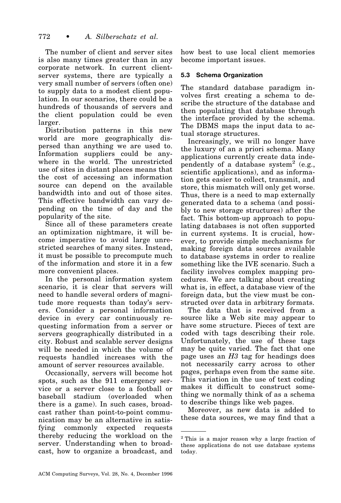The number of client and server sites is also many times greater than in any corporate network. In current clientserver systems, there are typically a very small number of servers (often one) to supply data to a modest client population. In our scenarios, there could be a hundreds of thousands of servers and the client population could be even larger.

Distribution patterns in this new world are more geographically dispersed than anything we are used to. Information suppliers could be anywhere in the world. The unrestricted use of sites in distant places means that the cost of accessing an information source can depend on the available bandwidth into and out of those sites. This effective bandwidth can vary depending on the time of day and the popularity of the site.

Since all of these parameters create an optimization nightmare, it will become imperative to avoid large unrestricted searches of many sites. Instead, it must be possible to precompute much of the information and store it in a few more convenient places.

In the personal information system scenario, it is clear that servers will need to handle several orders of magnitude more requests than today's servers. Consider a personal information device in every car continuously requesting information from a server or servers geographically distributed in a city. Robust and scalable server designs will be needed in which the volume of requests handled increases with the amount of server resources available.

Occasionally, servers will become hot spots, such as the 911 emergency service or a server close to a football or baseball stadium (overloaded when there is a game). In such cases, broadcast rather than point-to-point communication may be an alternative in satisfying commonly expected requests thereby reducing the workload on the server. Understanding when to broadcast, how to organize a broadcast, and

how best to use local client memories become important issues.

### **5.3 Schema Organization**

The standard database paradigm involves first creating a schema to describe the structure of the database and then populating that database through the interface provided by the schema. The DBMS maps the input data to actual storage structures.

Increasingly, we will no longer have the luxury of an a priori schema. Many applications currently create data independently of a database system<sup>2</sup> (e.g., scientific applications), and as information gets easier to collect, transmit, and store, this mismatch will only get worse. Thus, there is a need to map externally generated data to a schema (and possibly to new storage structures) after the fact. This bottom-up approach to populating databases is not often supported in current systems. It is crucial, however, to provide simple mechanisms for making foreign data sources available to database systems in order to realize something like the IVE scenario. Such a facility involves complex mapping procedures. We are talking about creating what is, in effect, a database view of the foreign data, but the view must be constructed over data in arbitrary formats.

The data that is received from a source like a Web site may appear to have some structure. Pieces of text are coded with tags describing their role. Unfortunately, the use of these tags may be quite varied. The fact that one page uses an *H3* tag for headings does not necessarily carry across to other pages, perhaps even from the same site. This variation in the use of text coding makes it difficult to construct something we normally think of as a schema to describe things like web pages.

Moreover, as new data is added to these data sources, we may find that a

<sup>2</sup> This is a major reason why a large fraction of these applications do not use database systems today.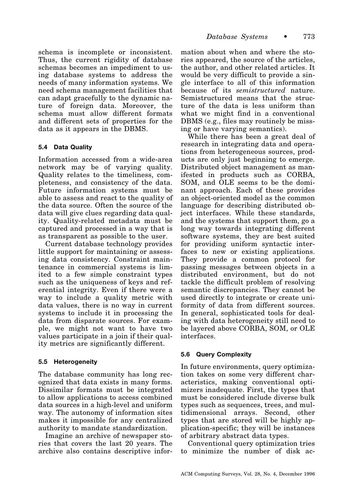schema is incomplete or inconsistent. Thus, the current rigidity of database schemas becomes an impediment to using database systems to address the needs of many information systems. We need schema management facilities that can adapt gracefully to the dynamic nature of foreign data. Moreover, the schema must allow different formats and different sets of properties for the data as it appears in the DBMS.

#### **5.4 Data Quality**

Information accessed from a wide-area network may be of varying quality. Quality relates to the timeliness, completeness, and consistency of the data. Future information systems must be able to assess and react to the quality of the data source. Often the source of the data will give clues regarding data quality. Quality-related metadata must be captured and processed in a way that is as transparent as possible to the user.

Current database technology provides little support for maintaining or assessing data consistency. Constraint maintenance in commercial systems is limited to a few simple constraint types such as the uniqueness of keys and referential integrity. Even if there were a way to include a quality metric with data values, there is no way in current systems to include it in processing the data from disparate sources. For example, we might not want to have two values participate in a join if their quality metrics are significantly different.

#### **5.5 Heterogeneity**

The database community has long recognized that data exists in many forms. Dissimilar formats must be integrated to allow applications to access combined data sources in a high-level and uniform way. The autonomy of information sites makes it impossible for any centralized authority to mandate standardization.

Imagine an archive of newspaper stories that covers the last 20 years. The archive also contains descriptive information about when and where the stories appeared, the source of the articles, the author, and other related articles. It would be very difficult to provide a single interface to all of this information because of its *semistructured* nature. Semistructured means that the structure of the data is less uniform than what we might find in a conventional DBMS (e.g., files may routinely be missing or have varying semantics).

While there has been a great deal of research in integrating data and operations from heterogeneous sources, products are only just beginning to emerge. Distributed object management as manifested in products such as CORBA, SOM, and OLE seems to be the dominant approach. Each of these provides an object-oriented model as the common language for describing distributed object interfaces. While these standards, and the systems that support them, go a long way towards integrating different software systems, they are best suited for providing uniform syntactic interfaces to new or existing applications. They provide a common protocol for passing messages between objects in a distributed environment, but do not tackle the difficult problem of resolving semantic discrepancies. They cannot be used directly to integrate or create uniformity of data from different sources. In general, sophisticated tools for dealing with data heterogeneity still need to be layered above CORBA, SOM, or OLE interfaces.

#### **5.6 Query Complexity**

In future environments, query optimization takes on some very different characteristics, making conventional optimizers inadequate. First, the types that must be considered include diverse bulk types such as sequences, trees, and multidimensional arrays. Second, other types that are stored will be highly application-specific; they will be instances of arbitrary abstract data types.

Conventional query optimization tries to minimize the number of disk ac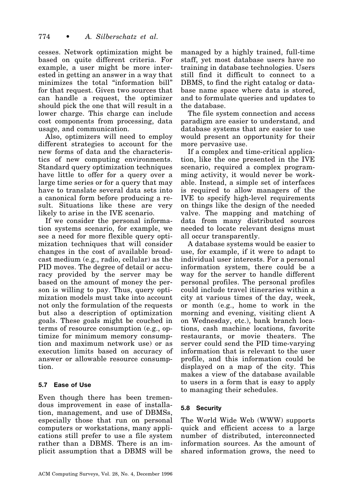cesses. Network optimization might be based on quite different criteria. For example, a user might be more interested in getting an answer in a way that minimizes the total "information bill" for that request. Given two sources that can handle a request, the optimizer should pick the one that will result in a lower charge. This charge can include cost components from processing, data usage, and communication.

Also, optimizers will need to employ different strategies to account for the new forms of data and the characteristics of new computing environments. Standard query optimization techniques have little to offer for a query over a large time series or for a query that may have to translate several data sets into a canonical form before producing a result. Situations like these are very likely to arise in the IVE scenario.

If we consider the personal information systems scenario, for example, we see a need for more flexible query optimization techniques that will consider changes in the cost of available broadcast medium (e.g., radio, cellular) as the PID moves. The degree of detail or accuracy provided by the server may be based on the amount of money the person is willing to pay. Thus, query optimization models must take into account not only the formulation of the requests but also a description of optimization goals. These goals might be couched in terms of resource consumption (e.g., optimize for minimum memory consumption and maximum network use) or as execution limits based on accuracy of answer or allowable resource consumption.

## **5.7 Ease of Use**

Even though there has been tremendous improvement in ease of installation, management, and use of DBMSs, especially those that run on personal computers or workstations, many applications still prefer to use a file system rather than a DBMS. There is an implicit assumption that a DBMS will be managed by a highly trained, full-time staff, yet most database users have no training in database technologies. Users still find it difficult to connect to a DBMS, to find the right catalog or database name space where data is stored, and to formulate queries and updates to the database.

The file system connection and access paradigm are easier to understand, and database systems that are easier to use would present an opportunity for their more pervasive use.

If a complex and time-critical application, like the one presented in the IVE scenario, required a complex programming activity, it would never be workable. Instead, a simple set of interfaces is required to allow managers of the IVE to specify high-level requirements on things like the design of the needed valve. The mapping and matching of data from many distributed sources needed to locate relevant designs must all occur transparently.

A database systems would be easier to use, for example, if it were to adapt to individual user interests. For a personal information system, there could be a way for the server to handle different personal profiles. The personal profiles could include travel itineraries within a city at various times of the day, week, or month (e.g., home to work in the morning and evening, visiting client A on Wednesday, etc.), bank branch locations, cash machine locations, favorite restaurants, or movie theaters. The server could send the PID time-varying information that is relevant to the user profile, and this information could be displayed on a map of the city. This makes a view of the database available to users in a form that is easy to apply to managing their schedules.

## **5.8 Security**

The World Wide Web (WWW) supports quick and efficient access to a large number of distributed, interconnected information sources. As the amount of shared information grows, the need to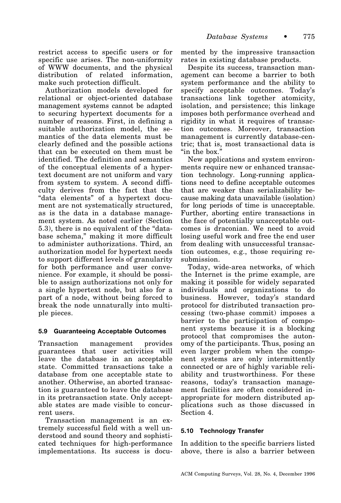restrict access to specific users or for specific use arises. The non-uniformity of WWW documents, and the physical distribution of related information, make such protection difficult.

Authorization models developed for relational or object-oriented database management systems cannot be adapted to securing hypertext documents for a number of reasons. First, in defining a suitable authorization model, the semantics of the data elements must be clearly defined and the possible actions that can be executed on them must be identified. The definition and semantics of the conceptual elements of a hypertext document are not uniform and vary from system to system. A second difficulty derives from the fact that the "data elements" of a hypertext document are not systematically structured, as is the data in a database management system. As noted earlier (Section 5.3), there is no equivalent of the "database schema," making it more difficult to administer authorizations. Third, an authorization model for hypertext needs to support different levels of granularity for both performance and user convenience. For example, it should be possible to assign authorizations not only for a single hypertext node, but also for a part of a node, without being forced to break the node unnaturally into multiple pieces.

## **5.9 Guaranteeing Acceptable Outcomes**

Transaction management provides guarantees that user activities will leave the database in an acceptable state. Committed transactions take a database from one acceptable state to another. Otherwise, an aborted transaction is guaranteed to leave the database in its pretransaction state. Only acceptable states are made visible to concurrent users.

Transaction management is an extremely successful field with a well understood and sound theory and sophisticated techniques for high-performance implementations. Its success is documented by the impressive transaction rates in existing database products.

Despite its success, transaction management can become a barrier to both system performance and the ability to specify acceptable outcomes. Today's transactions link together atomicity, isolation, and persistence; this linkage imposes both performance overhead and rigidity in what it requires of transaction outcomes. Moreover, transaction management is currently database-centric; that is, most transactional data is "in the box."

New applications and system environments require new or enhanced transaction technology. Long-running applications need to define acceptable outcomes that are weaker than serializability because making data unavailable (isolation) for long periods of time is unacceptable. Further, aborting entire transactions in the face of potentially unacceptable outcomes is draconian. We need to avoid losing useful work and free the end user from dealing with unsuccessful transaction outcomes, e.g., those requiring resubmission.

Today, wide-area networks, of which the Internet is the prime example, are making it possible for widely separated individuals and organizations to do business. However, today's standard protocol for distributed transaction processing (two-phase commit) imposes a barrier to the participation of component systems because it is a blocking protocol that compromises the autonomy of the participants. Thus, posing an even larger problem when the component systems are only intermittently connected or are of highly variable reliability and trustworthiness. For these reasons, today's transaction management facilities are often considered inappropriate for modern distributed applications such as those discussed in Section 4.

# **5.10 Technology Transfer**

In addition to the specific barriers listed above, there is also a barrier between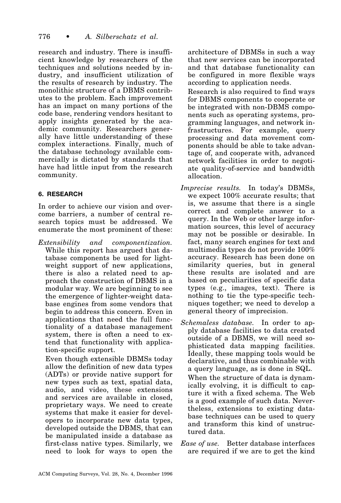research and industry. There is insufficient knowledge by researchers of the techniques and solutions needed by industry, and insufficient utilization of the results of research by industry. The monolithic structure of a DBMS contributes to the problem. Each improvement has an impact on many portions of the code base, rendering vendors hesitant to apply insights generated by the academic community. Researchers generally have little understanding of these complex interactions. Finally, much of the database technology available commercially is dictated by standards that have had little input from the research community.

## **6. RESEARCH**

In order to achieve our vision and overcome barriers, a number of central research topics must be addressed. We enumerate the most prominent of these:

*Extensibility and componentization.* While this report has argued that database components be used for lightweight support of new applications, there is also a related need to approach the construction of DBMS in a modular way. We are beginning to see the emergence of lighter-weight database engines from some vendors that begin to address this concern. Even in applications that need the full functionality of a database management system, there is often a need to extend that functionality with application-specific support.

Even though extensible DBMSs today allow the definition of new data types (ADTs) or provide native support for new types such as text, spatial data, audio, and video, these extensions and services are available in closed, proprietary ways. We need to create systems that make it easier for developers to incorporate new data types, developed outside the DBMS, that can be manipulated inside a database as first-class native types. Similarly, we need to look for ways to open the

architecture of DBMSs in such a way that new services can be incorporated and that database functionality can be configured in more flexible ways according to application needs.

Research is also required to find ways for DBMS components to cooperate or be integrated with non-DBMS components such as operating systems, programming languages, and network infrastructures. For example, query processing and data movement components should be able to take advantage of, and cooperate with, advanced network facilities in order to negotiate quality-of-service and bandwidth allocation.

- *Imprecise results.* In today's DBMSs, we expect 100% accurate results; that is, we assume that there is a single correct and complete answer to a query. In the Web or other large information sources, this level of accuracy may not be possible or desirable. In fact, many search engines for text and multimedia types do not provide 100% accuracy. Research has been done on similarity queries, but in general these results are isolated and are based on peculiarities of specific data types (e.g., images, text). There is nothing to tie the type-specific techniques together; we need to develop a general theory of imprecision.
- *Schemaless database.* In order to apply database facilities to data created outside of a DBMS, we will need sophisticated data mapping facilities. Ideally, these mapping tools would be declarative, and thus combinable with a query language, as is done in SQL. When the structure of data is dynamically evolving, it is difficult to capture it with a fixed schema. The Web is a good example of such data. Nevertheless, extensions to existing database techniques can be used to query and transform this kind of unstructured data.
- *Ease of use.* Better database interfaces are required if we are to get the kind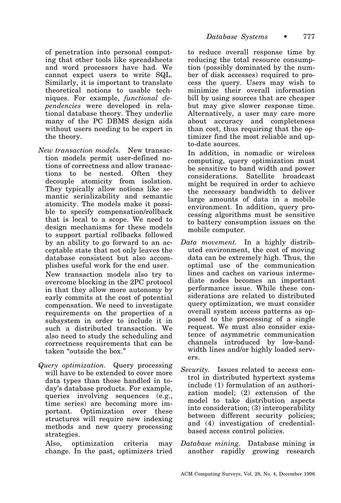of penetration into personal computing that other tools like spreadsheets and word processors have had. We cannot expect users to write SQL. Similarly, it is important to translate theoretical notions to usable techniques. For example, *functional dependencies* were developed in relational database theory. They underlie many of the PC DBMS design aids without users needing to be expert in the theory.

*New transaction models.* New transaction models permit user-defined notions of correctness and allow transactions to be nested. Often they decouple atomicity from isolation. They typically allow notions like semantic serializability and semantic atomicity. The models make it possible to specify compensation/rollback that is local to a scope. We need to design mechanisms for these models to support partial rollbacks followed by an ability to go forward to an acceptable state that not only leaves the database consistent but also accomplishes useful work for the end user.

New transaction models also try to overcome blocking in the 2PC protocol in that they allow more autonomy by early commits at the cost of potential compensation. We need to investigate requirements on the properties of a subsystem in order to include it in such a distributed transaction. We also need to study the scheduling and correctness requirements that can be taken "outside the box."

*Query optimization.* Query processing will have to be extended to cover more data types than those handled in today's database products. For example, queries involving sequences (e.g., time series) are becoming more important. Optimization over these structures will require new indexing methods and new query processing strategies.

Also, optimization criteria may change. In the past, optimizers tried

to reduce overall response time by reducing the total resource consumption (possibly dominated by the number of disk accesses) required to process the query. Users may wish to minimize their overall information bill by using sources that are cheaper but may give slower response time. Alternatively, a user may care more about accuracy and completeness than cost, thus requiring that the optimizer find the most reliable and upto-date sources.

In addition, in nomadic or wireless computing, query optimization must be sensitive to band width and power considerations. Satellite broadcast might be required in order to achieve the necessary bandwidth to deliver large amounts of data in a mobile environment. In addition, query processing algorithms must be sensitive to battery consumption issues on the mobile computer.

- *Data movement.* In a highly distributed environment, the cost of moving data can be extremely high. Thus, the optimal use of the communication lines and caches on various intermediate nodes becomes an important performance issue. While these considerations are related to distributed query optimization, we must consider overall system access patterns as opposed to the processing of a single request. We must also consider existence of asymmetric communication channels introduced by low-bandwidth lines and/or highly loaded servers.
- *Security.* Issues related to access control in distributed hypertext systems include (1) formulation of an authorization model; (2) extension of the model to take distribution aspects into consideration; (3) interoperability between different security policies; and (4) investigation of credentialbased access control policies.
- *Database mining.* Database mining is another rapidly growing research